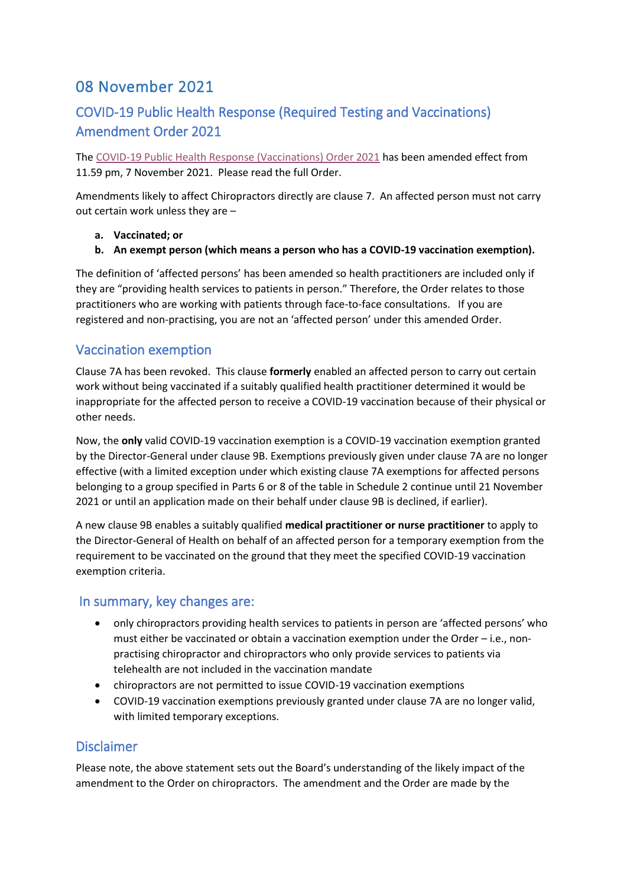# 08 November 2021

## COVID-19 Public Health Response (Required Testing and Vaccinations) Amendment Order 2021

The [COVID-19 Public Health Response \(Vaccinations\) Order 2021](https://www.legislation.govt.nz/regulation/public/2021/0358/latest/LMS591965.html) has been amended effect from 11.59 pm, 7 November 2021. Please read the full Order.

Amendments likely to affect Chiropractors directly are clause 7. An affected person must not carry out certain work unless they are –

- **a. Vaccinated; or**
- **b. An exempt person (which means a person who has a COVID-19 vaccination exemption).**

The definition of 'affected persons' has been amended so health practitioners are included only if they are "providing health services to patients in person." Therefore, the Order relates to those practitioners who are working with patients through face-to-face consultations. If you are registered and non-practising, you are not an 'affected person' under this amended Order.

### Vaccination exemption

Clause 7A has been revoked. This clause **formerly** enabled an affected person to carry out certain work without being vaccinated if a suitably qualified health practitioner determined it would be inappropriate for the affected person to receive a COVID-19 vaccination because of their physical or other needs.

Now, the **only** valid COVID-19 vaccination exemption is a COVID-19 vaccination exemption granted by the Director-General under clause 9B. Exemptions previously given under clause 7A are no longer effective (with a limited exception under which existing clause 7A exemptions for affected persons belonging to a group specified in Parts 6 or 8 of the table in Schedule 2 continue until 21 November 2021 or until an application made on their behalf under clause 9B is declined, if earlier).

A new clause 9B enables a suitably qualified **medical practitioner or nurse practitioner** to apply to the Director-General of Health on behalf of an affected person for a temporary exemption from the requirement to be vaccinated on the ground that they meet the specified COVID-19 vaccination exemption criteria.

### In summary, key changes are:

- only chiropractors providing health services to patients in person are 'affected persons' who must either be vaccinated or obtain a vaccination exemption under the Order – i.e., nonpractising chiropractor and chiropractors who only provide services to patients via telehealth are not included in the vaccination mandate
- chiropractors are not permitted to issue COVID-19 vaccination exemptions
- COVID-19 vaccination exemptions previously granted under clause 7A are no longer valid, with limited temporary exceptions.

### **Disclaimer**

Please note, the above statement sets out the Board's understanding of the likely impact of the amendment to the Order on chiropractors. The amendment and the Order are made by the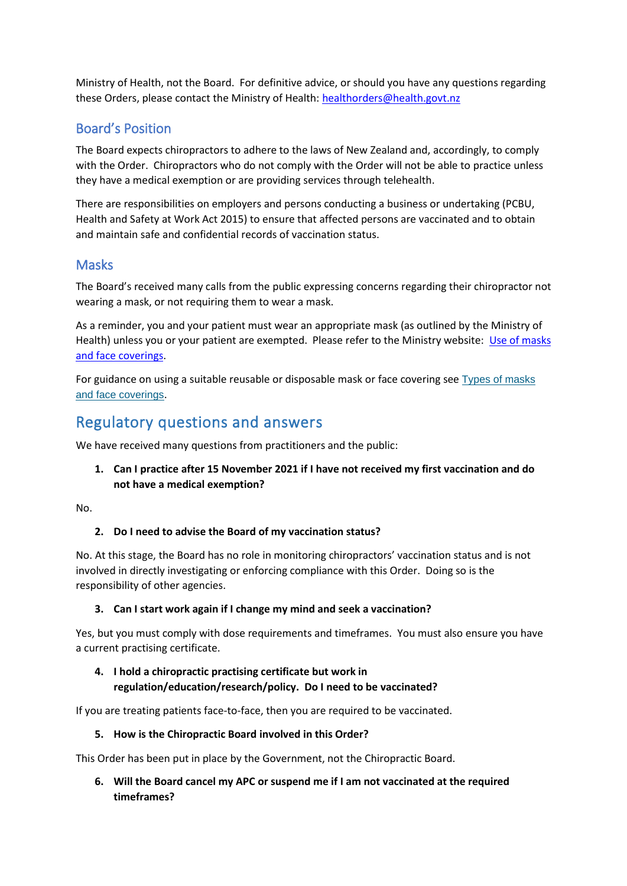Ministry of Health, not the Board. For definitive advice, or should you have any questions regarding these Orders, please contact the Ministry of Health: [healthorders@health.govt.nz](mailto:healthorders@health.govt.nz)

### Board's Position

The Board expects chiropractors to adhere to the laws of New Zealand and, accordingly, to comply with the Order. Chiropractors who do not comply with the Order will not be able to practice unless they have a medical exemption or are providing services through telehealth.

There are responsibilities on employers and persons conducting a business or undertaking (PCBU, Health and Safety at Work Act 2015) to ensure that affected persons are vaccinated and to obtain and maintain safe and confidential records of vaccination status.

### Masks

The Board's received many calls from the public expressing concerns regarding their chiropractor not wearing a mask, or not requiring them to wear a mask.

As a reminder, you and your patient must wear an appropriate mask (as outlined by the Ministry of Health) unless you or your patient are exempted. Please refer to the Ministry website: Use of masks [and face coverings.](https://www.health.govt.nz/our-work/diseases-and-conditions/covid-19-novel-coronavirus/covid-19-health-advice-public/covid-19-use-masks-and-face-coverings-community)

For guidance on using a suitable reusable or disposable mask or face covering see Types of masks [and face coverings](https://www.health.govt.nz/our-work/diseases-and-conditions/covid-19-novel-coronavirus/covid-19-health-advice-public/covid-19-use-masks-and-face-coverings-community#types).

# Regulatory questions and answers

We have received many questions from practitioners and the public:

**1. Can I practice after 15 November 2021 if I have not received my first vaccination and do not have a medical exemption?**

No.

#### **2. Do I need to advise the Board of my vaccination status?**

No. At this stage, the Board has no role in monitoring chiropractors' vaccination status and is not involved in directly investigating or enforcing compliance with this Order. Doing so is the responsibility of other agencies.

#### **3. Can I start work again if I change my mind and seek a vaccination?**

Yes, but you must comply with dose requirements and timeframes. You must also ensure you have a current practising certificate.

#### **4. I hold a chiropractic practising certificate but work in regulation/education/research/policy. Do I need to be vaccinated?**

If you are treating patients face-to-face, then you are required to be vaccinated.

#### **5. How is the Chiropractic Board involved in this Order?**

This Order has been put in place by the Government, not the Chiropractic Board.

**6. Will the Board cancel my APC or suspend me if I am not vaccinated at the required timeframes?**